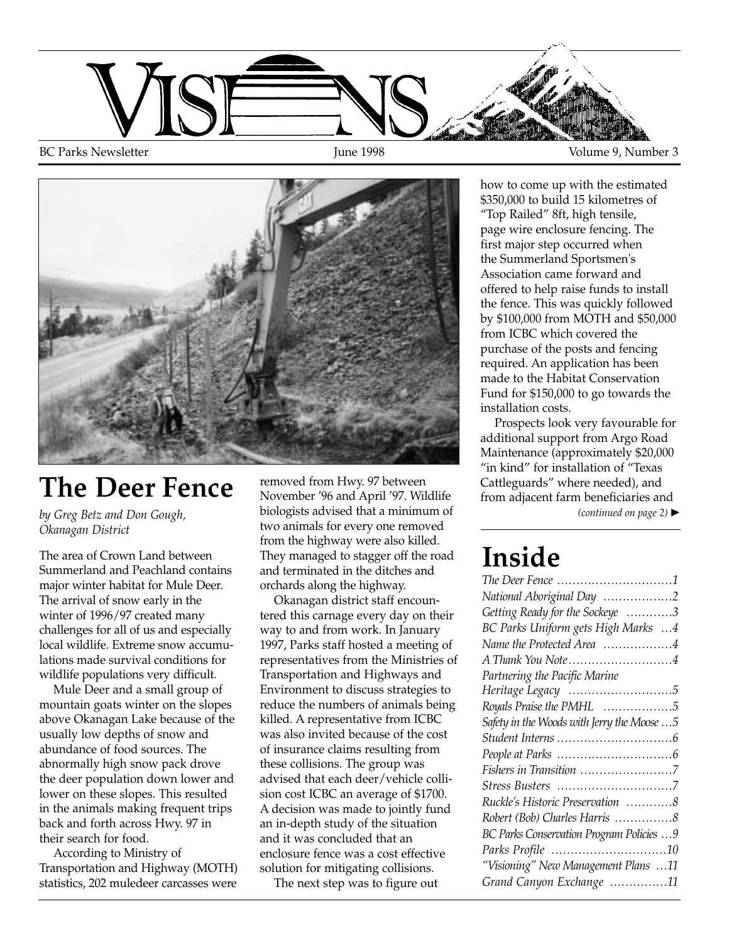



# **The Deer Fence**

*by Greg Betz and Don Gough, Okanagan District*

The area of Crown Land between Summerland and Peachland contains major winter habitat for Mule Deer. The arrival of snow early in the winter of 1996/97 created many challenges for all of us and especially local wildlife. Extreme snow accumulations made survival conditions for wildlife populations very difficult.

Mule Deer and a small group of mountain goats winter on the slopes above Okanagan Lake because of the usually low depths of snow and abundance of food sources. The abnormally high snow pack drove the deer population down lower and lower on these slopes. This resulted in the animals making frequent trips back and forth across Hwy. 97 in their search for food.

According to Ministry of Transportation and Highway (MOTH) statistics, 202 muledeer carcasses were removed from Hwy. 97 between November '96 and April '97. Wildlife biologists advised that a minimum of two animals for every one removed from the highway were also killed. They managed to stagger off the road and terminated in the ditches and orchards along the highway.

Okanagan district staff encountered this carnage every day on their way to and from work. In January 1997, Parks staff hosted a meeting of representatives from the Ministries of Transportation and Highways and Environment to discuss strategies to reduce the numbers of animals being killed. A representative from ICBC was also invited because of the cost of insurance claims resulting from these collisions. The group was advised that each deer/vehicle collision cost ICBC an average of \$1700. A decision was made to jointly fund an in-depth study of the situation and it was concluded that an enclosure fence was a cost effective solution for mitigating collisions.

The next step was to figure out

how to come up with the estimated \$350,000 to build 15 kilometres of "Top Railed" 8ft, high tensile, page wire enclosure fencing. The first major step occurred when the Summerland Sportsmen's Association came forward and offered to help raise funds to install the fence. This was quickly followed by \$100,000 from MOTH and \$50,000 from ICBC which covered the purchase of the posts and fencing required. An application has been made to the Habitat Conservation Fund for \$150,000 to go towards the installation costs.

Prospects look very favourable for additional support from Argo Road Maintenance (approximately \$20,000 "in kind" for installation of "Texas Cattleguards" where needed), and from adjacent farm beneficiaries and *(continued on page 2)* ▲

# **Inside**

| The Deer Fence 1                            |
|---------------------------------------------|
| National Aboriginal Day 2                   |
| Getting Ready for the Sockeye 3             |
| BC Parks Uniform gets High Marks 4          |
| Name the Protected Area 4                   |
| A Thank You Note4                           |
| Partnering the Pacific Marine               |
|                                             |
| Royals Praise the PMHL 5                    |
| Safety in the Woods with Jerry the Moose  5 |
|                                             |
|                                             |
| Fishers in Transition 7                     |
|                                             |
| Ruckle's Historic Preservation 8            |
| Robert (Bob) Charles Harris 8               |
| BC Parks Conservation Program Policies  9   |
|                                             |
| "Visioning" New Management Plans 11         |
| Grand Canyon Exchange 11                    |
|                                             |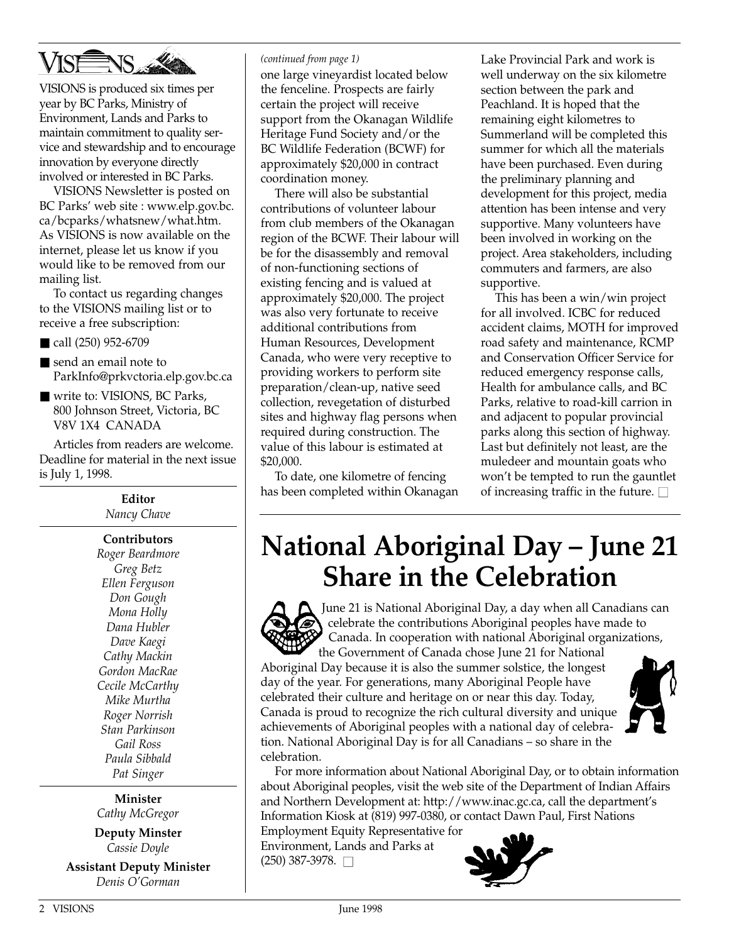

VISIONS is produced six times per year by BC Parks, Ministry of Environment, Lands and Parks to maintain commitment to quality service and stewardship and to encourage innovation by everyone directly involved or interested in BC Parks.

VISIONS Newsletter is posted on BC Parks' web site : www.elp.gov.bc. ca/bcparks/whatsnew/what.htm. As VISIONS is now available on the internet, please let us know if you would like to be removed from our mailing list.

To contact us regarding changes to the VISIONS mailing list or to receive a free subscription:

- call (250) 952-6709
- send an email note to ParkInfo@prkvctoria.elp.gov.bc.ca
- write to: VISIONS, BC Parks, 800 Johnson Street, Victoria, BC V8V 1X4 CANADA

Articles from readers are welcome. Deadline for material in the next issue is July 1, 1998.

> **Editor** *Nancy Chave*

**Contributors** *Roger Beardmore Greg Betz Ellen Ferguson Don Gough Mona Holly Dana Hubler Dave Kaegi Cathy Mackin Gordon MacRae Cecile McCarthy Mike Murtha Roger Norrish Stan Parkinson Gail Ross Paula Sibbald Pat Singer*

**Minister** *Cathy McGregor*

**Deputy Minster** *Cassie Doyle*

**Assistant Deputy Minister** *Denis O'Gorman*

#### *(continued from page 1)*

one large vineyardist located below the fenceline. Prospects are fairly certain the project will receive support from the Okanagan Wildlife Heritage Fund Society and/or the BC Wildlife Federation (BCWF) for approximately \$20,000 in contract coordination money.

There will also be substantial contributions of volunteer labour from club members of the Okanagan region of the BCWF. Their labour will be for the disassembly and removal of non-functioning sections of existing fencing and is valued at approximately \$20,000. The project was also very fortunate to receive additional contributions from Human Resources, Development Canada, who were very receptive to providing workers to perform site preparation/clean-up, native seed collection, revegetation of disturbed sites and highway flag persons when required during construction. The value of this labour is estimated at \$20,000.

To date, one kilometre of fencing has been completed within Okanagan Lake Provincial Park and work is well underway on the six kilometre section between the park and Peachland. It is hoped that the remaining eight kilometres to Summerland will be completed this summer for which all the materials have been purchased. Even during the preliminary planning and development for this project, media attention has been intense and very supportive. Many volunteers have been involved in working on the project. Area stakeholders, including commuters and farmers, are also supportive.

This has been a win/win project for all involved. ICBC for reduced accident claims, MOTH for improved road safety and maintenance, RCMP and Conservation Officer Service for reduced emergency response calls, Health for ambulance calls, and BC Parks, relative to road-kill carrion in and adjacent to popular provincial parks along this section of highway. Last but definitely not least, are the muledeer and mountain goats who won't be tempted to run the gauntlet of increasing traffic in the future.  $\square$ 

#### **National Aboriginal Day – June 21 Share in the Celebration**



June 21 is National Aboriginal Day, a day when all Canadians can celebrate the contributions Aboriginal peoples have made to Canada. In cooperation with national Aboriginal organizations,

the Government of Canada chose June 21 for National Aboriginal Day because it is also the summer solstice, the longest day of the year. For generations, many Aboriginal People have celebrated their culture and heritage on or near this day. Today, Canada is proud to recognize the rich cultural diversity and unique achievements of Aboriginal peoples with a national day of celebration. National Aboriginal Day is for all Canadians – so share in the celebration.



For more information about National Aboriginal Day, or to obtain information about Aboriginal peoples, visit the web site of the Department of Indian Affairs and Northern Development at: http://www.inac.gc.ca, call the department's Information Kiosk at (819) 997-0380, or contact Dawn Paul, First Nations

Employment Equity Representative for Environment, Lands and Parks at  $(250)$  387-3978.  $\Box$ 

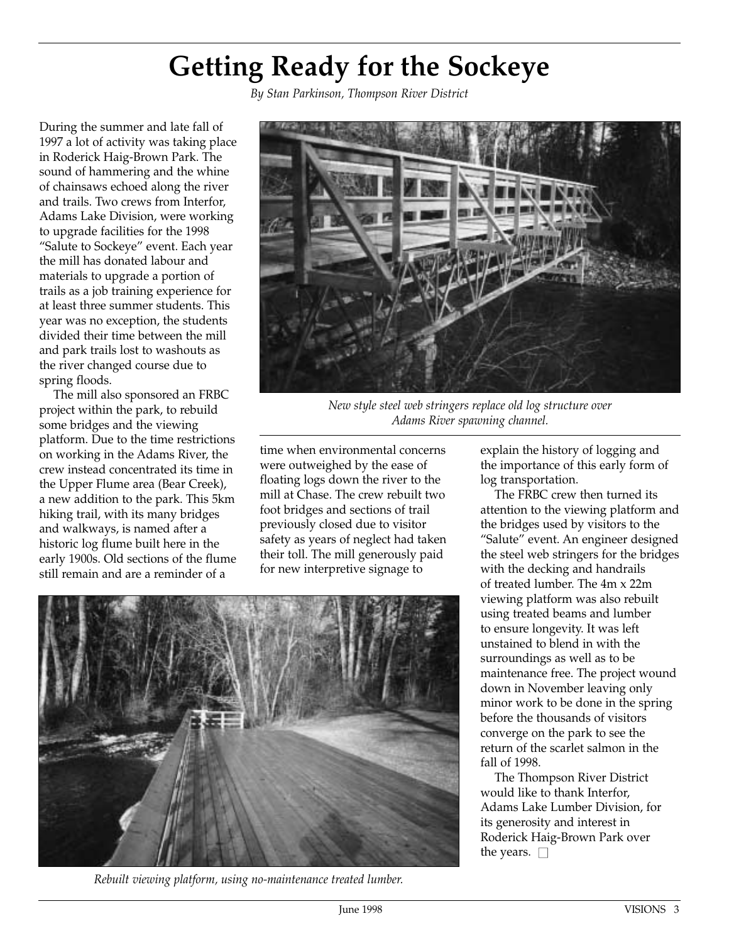# **Getting Ready for the Sockeye**

*By Stan Parkinson, Thompson River District*

During the summer and late fall of 1997 a lot of activity was taking place in Roderick Haig-Brown Park. The sound of hammering and the whine of chainsaws echoed along the river and trails. Two crews from Interfor, Adams Lake Division, were working to upgrade facilities for the 1998 "Salute to Sockeye" event. Each year the mill has donated labour and materials to upgrade a portion of trails as a job training experience for at least three summer students. This year was no exception, the students divided their time between the mill and park trails lost to washouts as the river changed course due to spring floods.

The mill also sponsored an FRBC project within the park, to rebuild some bridges and the viewing platform. Due to the time restrictions on working in the Adams River, the crew instead concentrated its time in the Upper Flume area (Bear Creek), a new addition to the park. This 5km hiking trail, with its many bridges and walkways, is named after a historic log flume built here in the early 1900s. Old sections of the flume still remain and are a reminder of a



*New style steel web stringers replace old log structure over Adams River spawning channel.*

time when environmental concerns were outweighed by the ease of floating logs down the river to the mill at Chase. The crew rebuilt two foot bridges and sections of trail previously closed due to visitor safety as years of neglect had taken their toll. The mill generously paid for new interpretive signage to

explain the history of logging and the importance of this early form of log transportation.

The FRBC crew then turned its attention to the viewing platform and the bridges used by visitors to the "Salute" event. An engineer designed the steel web stringers for the bridges with the decking and handrails of treated lumber. The 4m x 22m viewing platform was also rebuilt using treated beams and lumber to ensure longevity. It was left unstained to blend in with the surroundings as well as to be maintenance free. The project wound down in November leaving only minor work to be done in the spring before the thousands of visitors converge on the park to see the return of the scarlet salmon in the fall of 1998.

The Thompson River District would like to thank Interfor, Adams Lake Lumber Division, for its generosity and interest in Roderick Haig-Brown Park over the years.  $\square$ 



*Rebuilt viewing platform, using no-maintenance treated lumber.*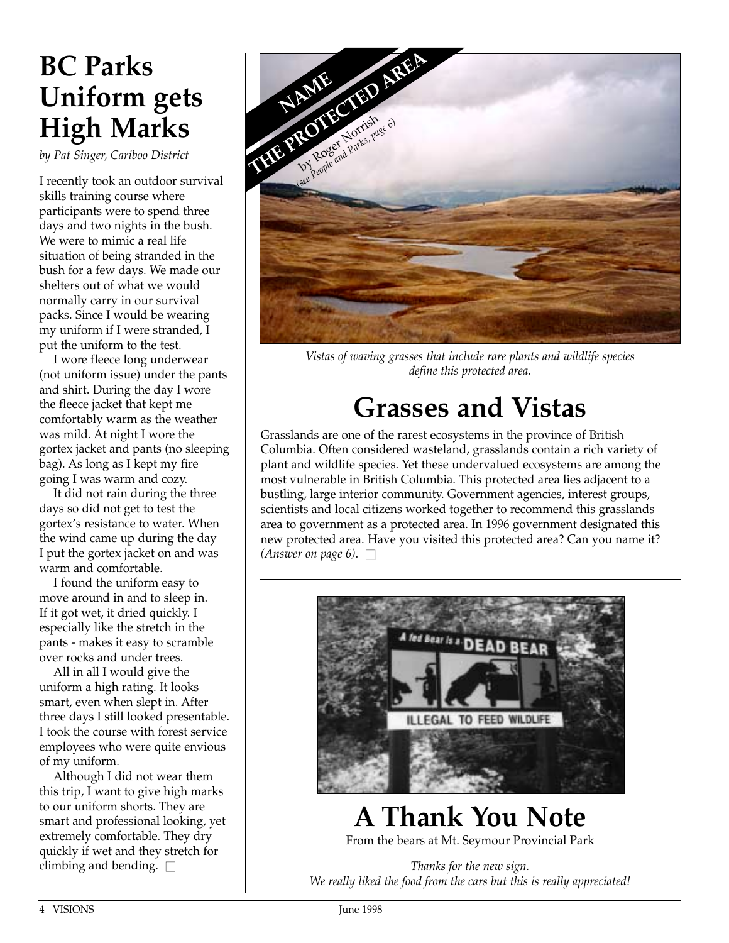### **BC Parks Uniform gets High Marks**

*by Pat Singer, Cariboo District*

I recently took an outdoor survival skills training course where participants were to spend three days and two nights in the bush. We were to mimic a real life situation of being stranded in the bush for a few days. We made our shelters out of what we would normally carry in our survival packs. Since I would be wearing my uniform if I were stranded, I put the uniform to the test.

I wore fleece long underwear (not uniform issue) under the pants and shirt. During the day I wore the fleece jacket that kept me comfortably warm as the weather was mild. At night I wore the gortex jacket and pants (no sleeping bag). As long as I kept my fire going I was warm and cozy.

It did not rain during the three days so did not get to test the gortex's resistance to water. When the wind came up during the day I put the gortex jacket on and was warm and comfortable.

I found the uniform easy to move around in and to sleep in. If it got wet, it dried quickly. I especially like the stretch in the pants - makes it easy to scramble over rocks and under trees.

All in all I would give the uniform a high rating. It looks smart, even when slept in. After three days I still looked presentable. I took the course with forest service employees who were quite envious of my uniform.

Although I did not wear them this trip, I want to give high marks to our uniform shorts. They are smart and professional looking, yet extremely comfortable. They dry quickly if wet and they stretch for climbing and bending.  $\square$ 



*Vistas of waving grasses that include rare plants and wildlife species define this protected area.*

# **Grasses and Vistas**

Grasslands are one of the rarest ecosystems in the province of British Columbia. Often considered wasteland, grasslands contain a rich variety of plant and wildlife species. Yet these undervalued ecosystems are among the most vulnerable in British Columbia. This protected area lies adjacent to a bustling, large interior community. Government agencies, interest groups, scientists and local citizens worked together to recommend this grasslands area to government as a protected area. In 1996 government designated this new protected area. Have you visited this protected area? Can you name it? *(Answer on page 6).*  $\Box$ 



#### **A Thank You Note** From the bears at Mt. Seymour Provincial Park

*Thanks for the new sign. We really liked the food from the cars but this is really appreciated!*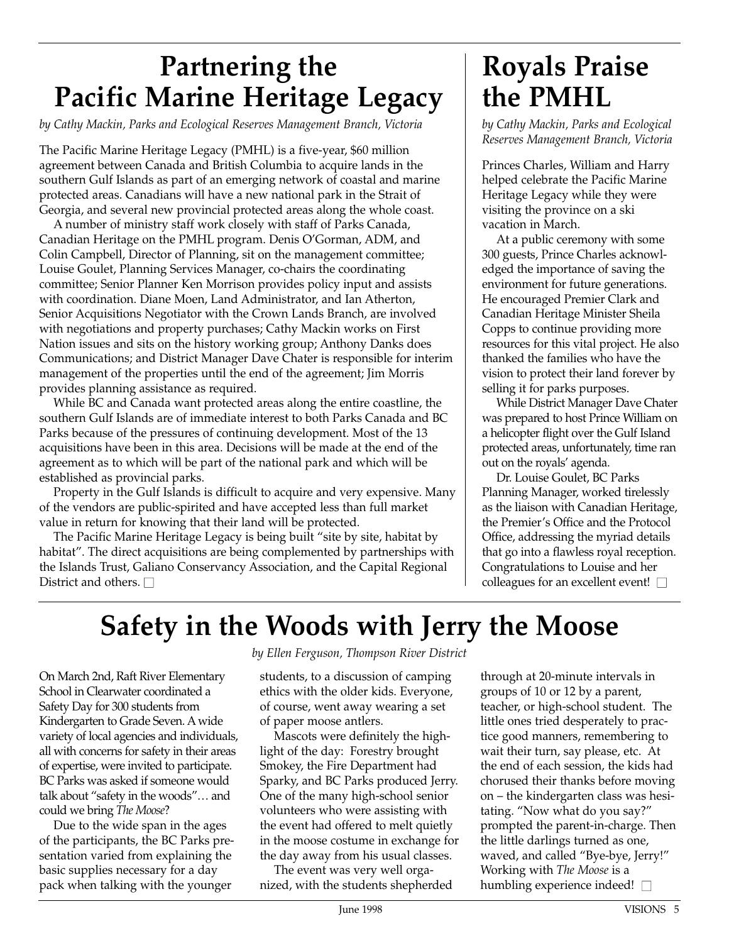## **Partnering the Pacific Marine Heritage Legacy**

*by Cathy Mackin, Parks and Ecological Reserves Management Branch, Victoria* 

The Pacific Marine Heritage Legacy (PMHL) is a five-year, \$60 million agreement between Canada and British Columbia to acquire lands in the southern Gulf Islands as part of an emerging network of coastal and marine protected areas. Canadians will have a new national park in the Strait of Georgia, and several new provincial protected areas along the whole coast.

A number of ministry staff work closely with staff of Parks Canada, Canadian Heritage on the PMHL program. Denis O'Gorman, ADM, and Colin Campbell, Director of Planning, sit on the management committee; Louise Goulet, Planning Services Manager, co-chairs the coordinating committee; Senior Planner Ken Morrison provides policy input and assists with coordination. Diane Moen, Land Administrator, and Ian Atherton, Senior Acquisitions Negotiator with the Crown Lands Branch, are involved with negotiations and property purchases; Cathy Mackin works on First Nation issues and sits on the history working group; Anthony Danks does Communications; and District Manager Dave Chater is responsible for interim management of the properties until the end of the agreement; Jim Morris provides planning assistance as required.

While BC and Canada want protected areas along the entire coastline, the southern Gulf Islands are of immediate interest to both Parks Canada and BC Parks because of the pressures of continuing development. Most of the 13 acquisitions have been in this area. Decisions will be made at the end of the agreement as to which will be part of the national park and which will be established as provincial parks.

Property in the Gulf Islands is difficult to acquire and very expensive. Many of the vendors are public-spirited and have accepted less than full market value in return for knowing that their land will be protected.

The Pacific Marine Heritage Legacy is being built "site by site, habitat by habitat". The direct acquisitions are being complemented by partnerships with the Islands Trust, Galiano Conservancy Association, and the Capital Regional District and others.  $\Box$ 

#### **Royals Praise the PMHL**

*by Cathy Mackin, Parks and Ecological Reserves Management Branch, Victoria* 

Princes Charles, William and Harry helped celebrate the Pacific Marine Heritage Legacy while they were visiting the province on a ski vacation in March.

At a public ceremony with some 300 guests, Prince Charles acknowledged the importance of saving the environment for future generations. He encouraged Premier Clark and Canadian Heritage Minister Sheila Copps to continue providing more resources for this vital project. He also thanked the families who have the vision to protect their land forever by selling it for parks purposes.

While District Manager Dave Chater was prepared to host Prince William on a helicopter flight over the Gulf Island protected areas, unfortunately, time ran out on the royals' agenda.

Dr. Louise Goulet, BC Parks Planning Manager, worked tirelessly as the liaison with Canadian Heritage, the Premier's Office and the Protocol Office, addressing the myriad details that go into a flawless royal reception. Congratulations to Louise and her colleagues for an excellent event!  $\square$ 

#### **Safety in the Woods with Jerry the Moose**

On March 2nd, Raft River Elementary School in Clearwater coordinated a Safety Day for 300 students from Kindergarten to Grade Seven. A wide variety of local agencies and individuals, all with concerns for safety in their areas of expertise, were invited to participate. BC Parks was asked if someone would talk about "safety in the woods"… and could we bring *The Moose*?

Due to the wide span in the ages of the participants, the BC Parks presentation varied from explaining the basic supplies necessary for a day pack when talking with the younger

*by Ellen Ferguson, Thompson River District*

students, to a discussion of camping ethics with the older kids. Everyone, of course, went away wearing a set of paper moose antlers.

Mascots were definitely the highlight of the day: Forestry brought Smokey, the Fire Department had Sparky, and BC Parks produced Jerry. One of the many high-school senior volunteers who were assisting with the event had offered to melt quietly in the moose costume in exchange for the day away from his usual classes.

The event was very well organized, with the students shepherded through at 20-minute intervals in groups of 10 or 12 by a parent, teacher, or high-school student. The little ones tried desperately to practice good manners, remembering to wait their turn, say please, etc. At the end of each session, the kids had chorused their thanks before moving on – the kindergarten class was hesitating. "Now what do you say?" prompted the parent-in-charge. Then the little darlings turned as one, waved, and called "Bye-bye, Jerry!" Working with *The Moose* is a humbling experience indeed!  $\square$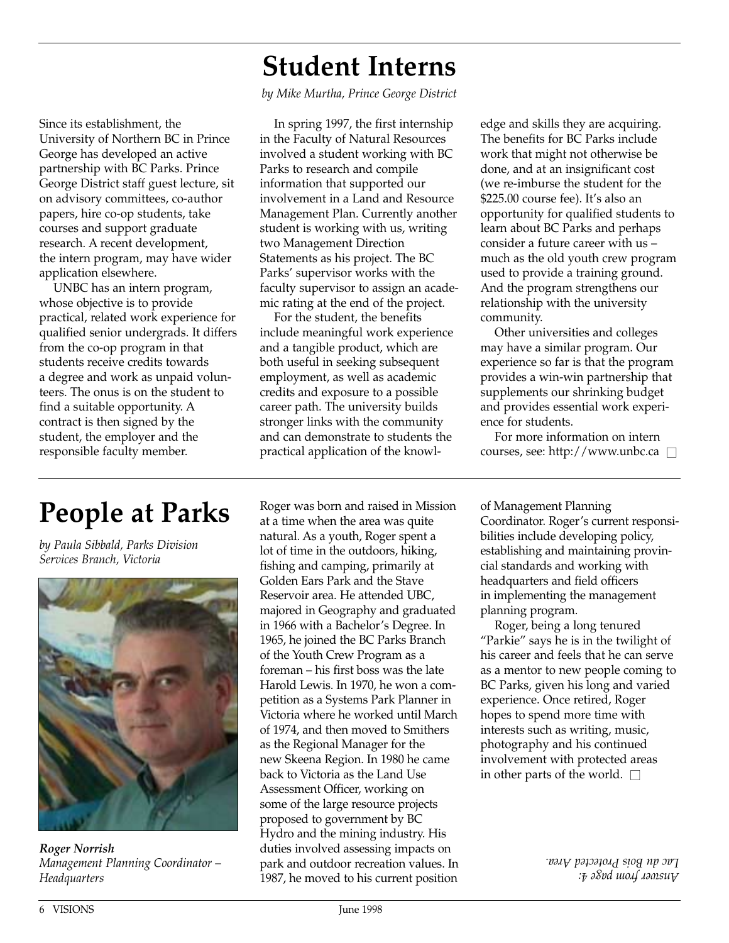#### **Student Interns**

*by Mike Murtha, Prince George District*

Since its establishment, the University of Northern BC in Prince George has developed an active partnership with BC Parks. Prince George District staff guest lecture, sit on advisory committees, co-author papers, hire co-op students, take courses and support graduate research. A recent development, the intern program, may have wider application elsewhere.

UNBC has an intern program, whose objective is to provide practical, related work experience for qualified senior undergrads. It differs from the co-op program in that students receive credits towards a degree and work as unpaid volunteers. The onus is on the student to find a suitable opportunity. A contract is then signed by the student, the employer and the responsible faculty member.

In spring 1997, the first internship in the Faculty of Natural Resources involved a student working with BC Parks to research and compile information that supported our involvement in a Land and Resource Management Plan. Currently another student is working with us, writing two Management Direction Statements as his project. The BC Parks' supervisor works with the faculty supervisor to assign an academic rating at the end of the project.

For the student, the benefits include meaningful work experience and a tangible product, which are both useful in seeking subsequent employment, as well as academic credits and exposure to a possible career path. The university builds stronger links with the community and can demonstrate to students the practical application of the knowledge and skills they are acquiring. The benefits for BC Parks include work that might not otherwise be done, and at an insignificant cost (we re-imburse the student for the \$225.00 course fee). It's also an opportunity for qualified students to learn about BC Parks and perhaps consider a future career with us – much as the old youth crew program used to provide a training ground. And the program strengthens our relationship with the university community.

Other universities and colleges may have a similar program. Our experience so far is that the program provides a win-win partnership that supplements our shrinking budget and provides essential work experience for students.

For more information on intern courses, see: http://www.unbc.ca  $\square$ 

### **People at Parks**

*by Paula Sibbald, Parks Division Services Branch, Victoria*



*Roger Norrish Management Planning Coordinator – Headquarters*

Roger was born and raised in Mission at a time when the area was quite natural. As a youth, Roger spent a lot of time in the outdoors, hiking, fishing and camping, primarily at Golden Ears Park and the Stave Reservoir area. He attended UBC, majored in Geography and graduated in 1966 with a Bachelor's Degree. In 1965, he joined the BC Parks Branch of the Youth Crew Program as a foreman – his first boss was the late Harold Lewis. In 1970, he won a competition as a Systems Park Planner in Victoria where he worked until March of 1974, and then moved to Smithers as the Regional Manager for the new Skeena Region. In 1980 he came back to Victoria as the Land Use Assessment Officer, working on some of the large resource projects proposed to government by BC Hydro and the mining industry. His duties involved assessing impacts on park and outdoor recreation values. In 1987, he moved to his current position

of Management Planning Coordinator. Roger's current responsibilities include developing policy, establishing and maintaining provincial standards and working with headquarters and field officers in implementing the management planning program.

Roger, being a long tenured "Parkie" says he is in the twilight of his career and feels that he can serve as a mentor to new people coming to BC Parks, given his long and varied experience. Once retired, Roger hopes to spend more time with interests such as writing, music, photography and his continued involvement with protected areas in other parts of the world.  $\square$ 

> *Answer from page 4: Lac du Bois Protected Area.*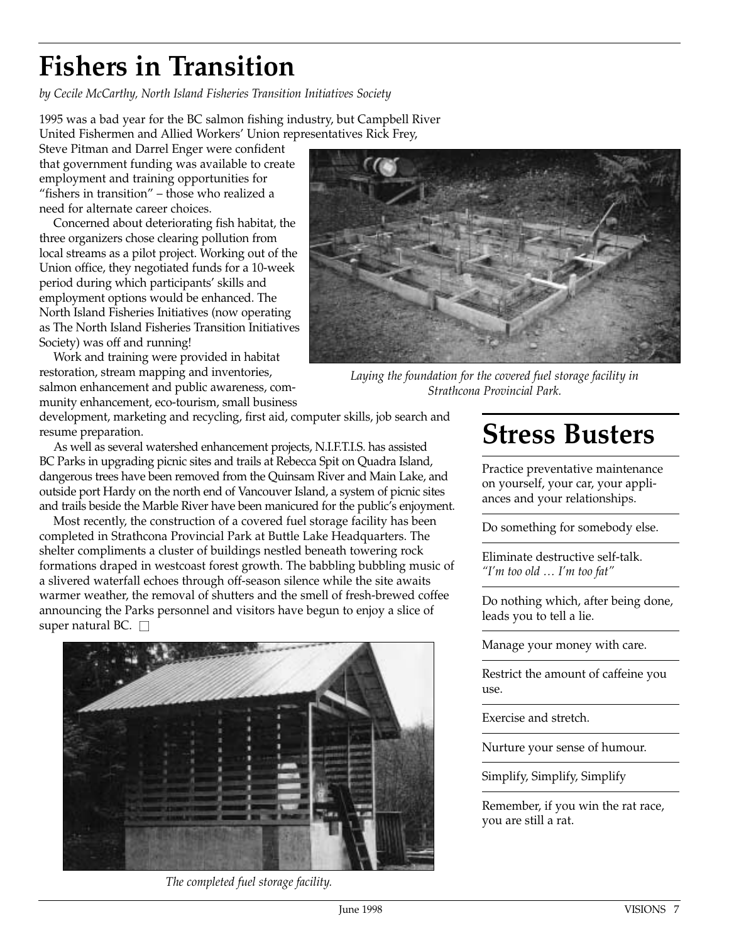# **Fishers in Transition**

*by Cecile McCarthy, North Island Fisheries Transition Initiatives Society*

1995 was a bad year for the BC salmon fishing industry, but Campbell River United Fishermen and Allied Workers' Union representatives Rick Frey,

Steve Pitman and Darrel Enger were confident that government funding was available to create employment and training opportunities for "fishers in transition" – those who realized a need for alternate career choices.

Concerned about deteriorating fish habitat, the three organizers chose clearing pollution from local streams as a pilot project. Working out of the Union office, they negotiated funds for a 10-week period during which participants' skills and employment options would be enhanced. The North Island Fisheries Initiatives (now operating as The North Island Fisheries Transition Initiatives Society) was off and running!

Work and training were provided in habitat restoration, stream mapping and inventories, salmon enhancement and public awareness, community enhancement, eco-tourism, small business



*Laying the foundation for the covered fuel storage facility in Strathcona Provincial Park.*

development, marketing and recycling, first aid, computer skills, job search and resume preparation.

As well as several watershed enhancement projects, N.I.F.T.I.S. has assisted BC Parks in upgrading picnic sites and trails at Rebecca Spit on Quadra Island, dangerous trees have been removed from the Quinsam River and Main Lake, and outside port Hardy on the north end of Vancouver Island, a system of picnic sites and trails beside the Marble River have been manicured for the public's enjoyment.

Most recently, the construction of a covered fuel storage facility has been completed in Strathcona Provincial Park at Buttle Lake Headquarters. The shelter compliments a cluster of buildings nestled beneath towering rock formations draped in westcoast forest growth. The babbling bubbling music of a slivered waterfall echoes through off-season silence while the site awaits warmer weather, the removal of shutters and the smell of fresh-brewed coffee announcing the Parks personnel and visitors have begun to enjoy a slice of super natural BC.  $\square$ 



*The completed fuel storage facility.*

#### **Stress Busters**

Practice preventative maintenance on yourself, your car, your appliances and your relationships.

Do something for somebody else.

Eliminate destructive self-talk. *"I'm too old … I'm too fat"*

Do nothing which, after being done, leads you to tell a lie.

Manage your money with care.

Restrict the amount of caffeine you use.

Exercise and stretch.

Nurture your sense of humour.

Simplify, Simplify, Simplify

Remember, if you win the rat race, you are still a rat.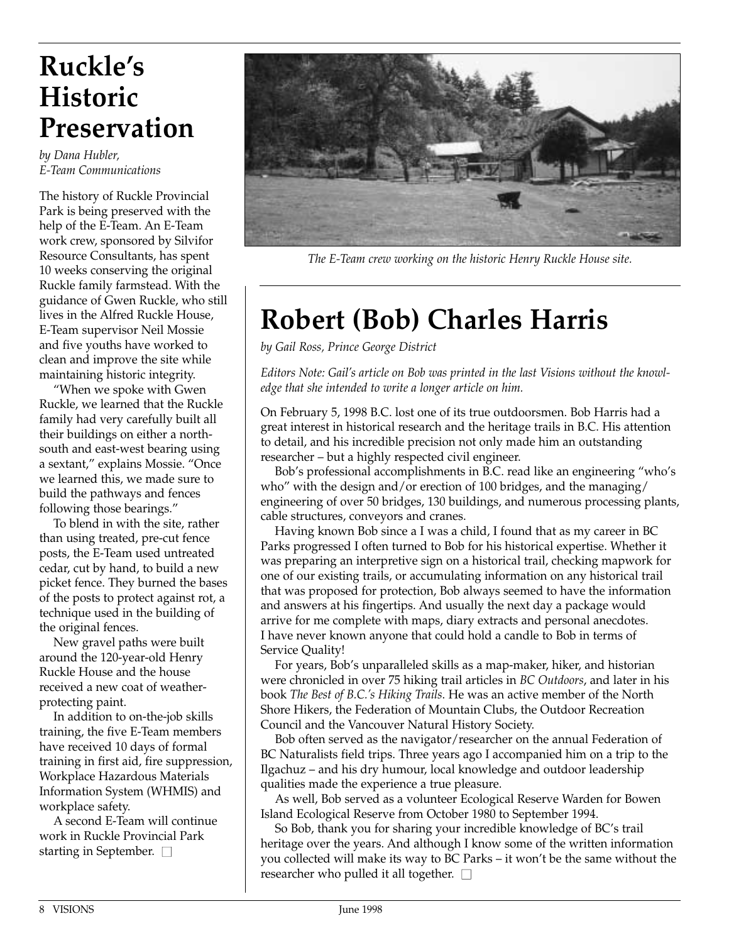#### **Ruckle's Historic Preservation**

*by Dana Hubler, E-Team Communications*

The history of Ruckle Provincial Park is being preserved with the help of the E-Team. An E-Team work crew, sponsored by Silvifor Resource Consultants, has spent 10 weeks conserving the original Ruckle family farmstead. With the guidance of Gwen Ruckle, who still lives in the Alfred Ruckle House, E-Team supervisor Neil Mossie and five youths have worked to clean and improve the site while maintaining historic integrity.

"When we spoke with Gwen Ruckle, we learned that the Ruckle family had very carefully built all their buildings on either a northsouth and east-west bearing using a sextant," explains Mossie. "Once we learned this, we made sure to build the pathways and fences following those bearings."

To blend in with the site, rather than using treated, pre-cut fence posts, the E-Team used untreated cedar, cut by hand, to build a new picket fence. They burned the bases of the posts to protect against rot, a technique used in the building of the original fences.

New gravel paths were built around the 120-year-old Henry Ruckle House and the house received a new coat of weatherprotecting paint.

In addition to on-the-job skills training, the five E-Team members have received 10 days of formal training in first aid, fire suppression, Workplace Hazardous Materials Information System (WHMIS) and workplace safety.

A second E-Team will continue work in Ruckle Provincial Park starting in September.  $\square$ 



*The E-Team crew working on the historic Henry Ruckle House site.*

# **Robert (Bob) Charles Harris**

*by Gail Ross, Prince George District*

*Editors Note: Gail's article on Bob was printed in the last Visions without the knowledge that she intended to write a longer article on him.*

On February 5, 1998 B.C. lost one of its true outdoorsmen. Bob Harris had a great interest in historical research and the heritage trails in B.C. His attention to detail, and his incredible precision not only made him an outstanding researcher – but a highly respected civil engineer.

Bob's professional accomplishments in B.C. read like an engineering "who's who" with the design and/or erection of 100 bridges, and the managing/ engineering of over 50 bridges, 130 buildings, and numerous processing plants, cable structures, conveyors and cranes.

Having known Bob since a I was a child, I found that as my career in BC Parks progressed I often turned to Bob for his historical expertise. Whether it was preparing an interpretive sign on a historical trail, checking mapwork for one of our existing trails, or accumulating information on any historical trail that was proposed for protection, Bob always seemed to have the information and answers at his fingertips. And usually the next day a package would arrive for me complete with maps, diary extracts and personal anecdotes. I have never known anyone that could hold a candle to Bob in terms of Service Quality!

For years, Bob's unparalleled skills as a map-maker, hiker, and historian were chronicled in over 75 hiking trail articles in *BC Outdoors*, and later in his book *The Best of B.C.'s Hiking Trails*. He was an active member of the North Shore Hikers, the Federation of Mountain Clubs, the Outdoor Recreation Council and the Vancouver Natural History Society.

Bob often served as the navigator/researcher on the annual Federation of BC Naturalists field trips. Three years ago I accompanied him on a trip to the Ilgachuz – and his dry humour, local knowledge and outdoor leadership qualities made the experience a true pleasure.

As well, Bob served as a volunteer Ecological Reserve Warden for Bowen Island Ecological Reserve from October 1980 to September 1994.

So Bob, thank you for sharing your incredible knowledge of BC's trail heritage over the years. And although I know some of the written information you collected will make its way to BC Parks – it won't be the same without the researcher who pulled it all together.  $\square$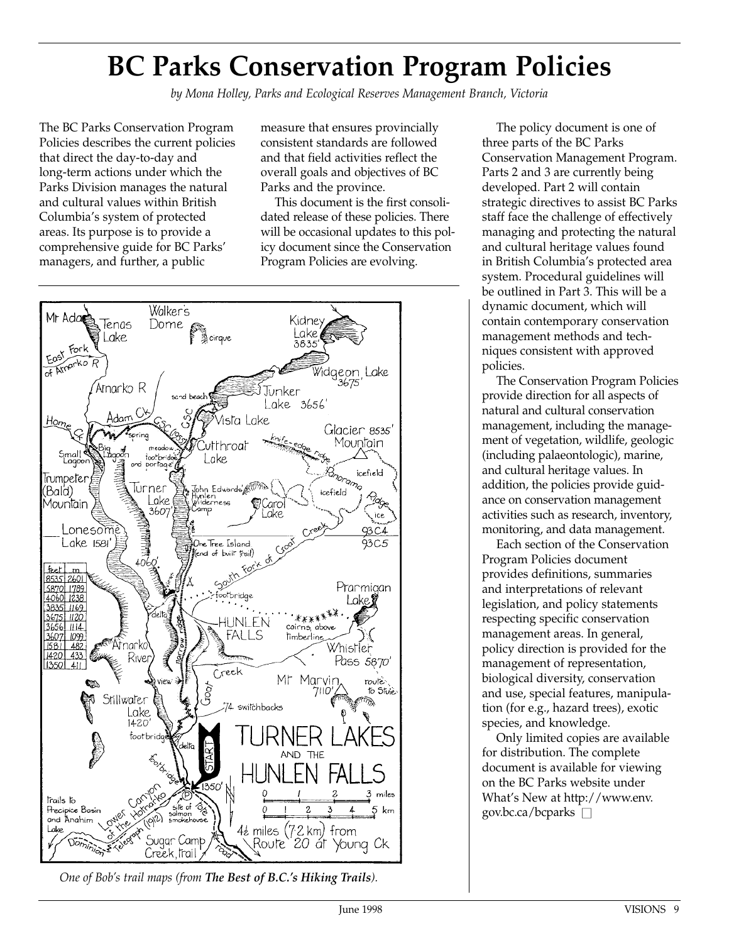# **BC Parks Conservation Program Policies**

*by Mona Holley, Parks and Ecological Reserves Management Branch, Victoria*

The BC Parks Conservation Program Policies describes the current policies that direct the day-to-day and long-term actions under which the Parks Division manages the natural and cultural values within British Columbia's system of protected areas. Its purpose is to provide a comprehensive guide for BC Parks' managers, and further, a public

measure that ensures provincially consistent standards are followed and that field activities reflect the overall goals and objectives of BC Parks and the province.

This document is the first consolidated release of these policies. There will be occasional updates to this policy document since the Conservation Program Policies are evolving.



*One of Bob's trail maps (from The Best of B.C.'s Hiking Trails).*

The policy document is one of three parts of the BC Parks Conservation Management Program. Parts 2 and 3 are currently being developed. Part 2 will contain strategic directives to assist BC Parks staff face the challenge of effectively managing and protecting the natural and cultural heritage values found in British Columbia's protected area system. Procedural guidelines will be outlined in Part 3. This will be a dynamic document, which will contain contemporary conservation management methods and techniques consistent with approved policies.

The Conservation Program Policies provide direction for all aspects of natural and cultural conservation management, including the management of vegetation, wildlife, geologic (including palaeontologic), marine, and cultural heritage values. In addition, the policies provide guidance on conservation management activities such as research, inventory, monitoring, and data management.

Each section of the Conservation Program Policies document provides definitions, summaries and interpretations of relevant legislation, and policy statements respecting specific conservation management areas. In general, policy direction is provided for the management of representation, biological diversity, conservation and use, special features, manipulation (for e.g., hazard trees), exotic species, and knowledge.

Only limited copies are available for distribution. The complete document is available for viewing on the BC Parks website under What's New at http://www.env. gov.bc.ca/bcparks  $\Box$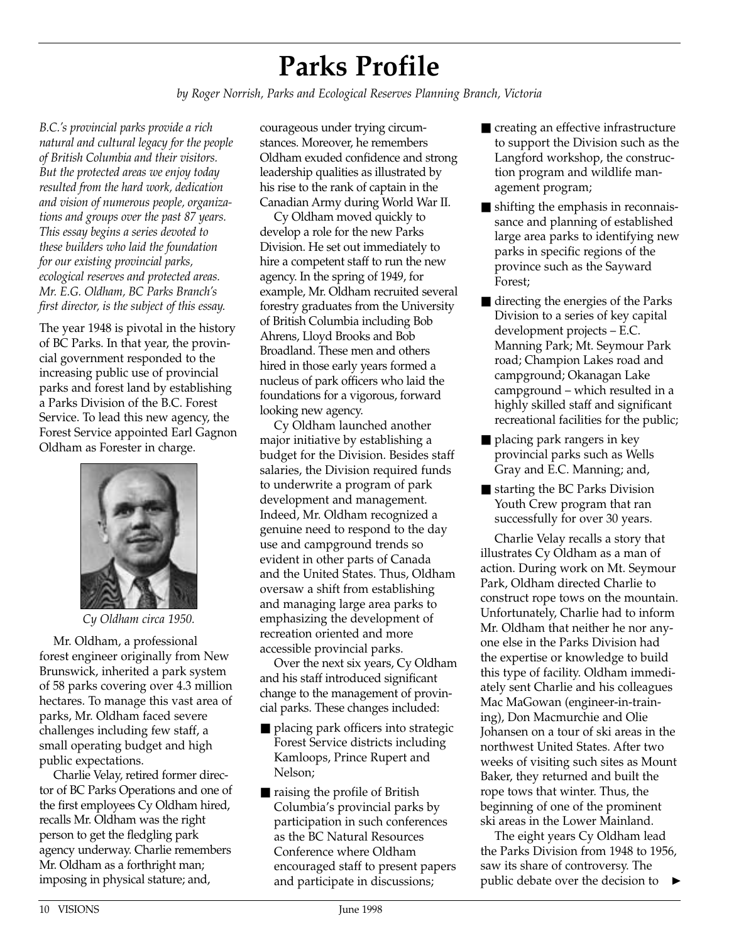# **Parks Profile**

*by Roger Norrish, Parks and Ecological Reserves Planning Branch, Victoria*

*B.C.'s provincial parks provide a rich natural and cultural legacy for the people of British Columbia and their visitors. But the protected areas we enjoy today resulted from the hard work, dedication and vision of numerous people, organizations and groups over the past 87 years. This essay begins a series devoted to these builders who laid the foundation for our existing provincial parks, ecological reserves and protected areas. Mr. E.G. Oldham, BC Parks Branch's first director, is the subject of this essay.* 

The year 1948 is pivotal in the history of BC Parks. In that year, the provincial government responded to the increasing public use of provincial parks and forest land by establishing a Parks Division of the B.C. Forest Service. To lead this new agency, the Forest Service appointed Earl Gagnon Oldham as Forester in charge.



*Cy Oldham circa 1950.*

Mr. Oldham, a professional forest engineer originally from New Brunswick, inherited a park system of 58 parks covering over 4.3 million hectares. To manage this vast area of parks, Mr. Oldham faced severe challenges including few staff, a small operating budget and high public expectations.

Charlie Velay, retired former director of BC Parks Operations and one of the first employees Cy Oldham hired, recalls Mr. Oldham was the right person to get the fledgling park agency underway. Charlie remembers Mr. Oldham as a forthright man; imposing in physical stature; and,

courageous under trying circumstances. Moreover, he remembers Oldham exuded confidence and strong leadership qualities as illustrated by his rise to the rank of captain in the Canadian Army during World War II.

Cy Oldham moved quickly to develop a role for the new Parks Division. He set out immediately to hire a competent staff to run the new agency. In the spring of 1949, for example, Mr. Oldham recruited several forestry graduates from the University of British Columbia including Bob Ahrens, Lloyd Brooks and Bob Broadland. These men and others hired in those early years formed a nucleus of park officers who laid the foundations for a vigorous, forward looking new agency.

Cy Oldham launched another major initiative by establishing a budget for the Division. Besides staff salaries, the Division required funds to underwrite a program of park development and management. Indeed, Mr. Oldham recognized a genuine need to respond to the day use and campground trends so evident in other parts of Canada and the United States. Thus, Oldham oversaw a shift from establishing and managing large area parks to emphasizing the development of recreation oriented and more accessible provincial parks.

Over the next six years, Cy Oldham and his staff introduced significant change to the management of provincial parks. These changes included:

- placing park officers into strategic Forest Service districts including Kamloops, Prince Rupert and Nelson;
- raising the profile of British Columbia's provincial parks by participation in such conferences as the BC Natural Resources Conference where Oldham encouraged staff to present papers and participate in discussions;
- creating an effective infrastructure to support the Division such as the Langford workshop, the construction program and wildlife management program;
- shifting the emphasis in reconnaissance and planning of established large area parks to identifying new parks in specific regions of the province such as the Sayward Forest;
- directing the energies of the Parks Division to a series of key capital development projects – E.C. Manning Park; Mt. Seymour Park road; Champion Lakes road and campground; Okanagan Lake campground – which resulted in a highly skilled staff and significant recreational facilities for the public;
- placing park rangers in key provincial parks such as Wells Gray and E.C. Manning; and,
- starting the BC Parks Division Youth Crew program that ran successfully for over 30 years.

Charlie Velay recalls a story that illustrates Cy Oldham as a man of action. During work on Mt. Seymour Park, Oldham directed Charlie to construct rope tows on the mountain. Unfortunately, Charlie had to inform Mr. Oldham that neither he nor anyone else in the Parks Division had the expertise or knowledge to build this type of facility. Oldham immediately sent Charlie and his colleagues Mac MaGowan (engineer-in-training), Don Macmurchie and Olie Johansen on a tour of ski areas in the northwest United States. After two weeks of visiting such sites as Mount Baker, they returned and built the rope tows that winter. Thus, the beginning of one of the prominent ski areas in the Lower Mainland.

The eight years Cy Oldham lead the Parks Division from 1948 to 1956, saw its share of controversy. The public debate over the decision to ▲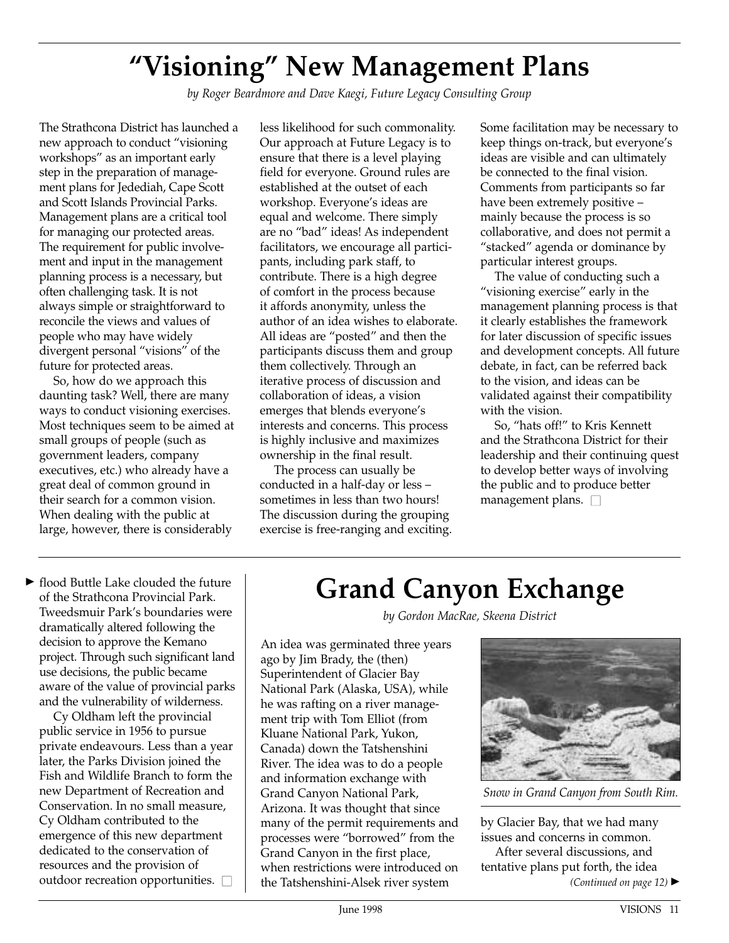# **"Visioning" New Management Plans**

*by Roger Beardmore and Dave Kaegi, Future Legacy Consulting Group*

The Strathcona District has launched a new approach to conduct "visioning workshops" as an important early step in the preparation of management plans for Jedediah, Cape Scott and Scott Islands Provincial Parks. Management plans are a critical tool for managing our protected areas. The requirement for public involvement and input in the management planning process is a necessary, but often challenging task. It is not always simple or straightforward to reconcile the views and values of people who may have widely divergent personal "visions" of the future for protected areas.

So, how do we approach this daunting task? Well, there are many ways to conduct visioning exercises. Most techniques seem to be aimed at small groups of people (such as government leaders, company executives, etc.) who already have a great deal of common ground in their search for a common vision. When dealing with the public at large, however, there is considerably

less likelihood for such commonality. Our approach at Future Legacy is to ensure that there is a level playing field for everyone. Ground rules are established at the outset of each workshop. Everyone's ideas are equal and welcome. There simply are no "bad" ideas! As independent facilitators, we encourage all participants, including park staff, to contribute. There is a high degree of comfort in the process because it affords anonymity, unless the author of an idea wishes to elaborate. All ideas are "posted" and then the participants discuss them and group them collectively. Through an iterative process of discussion and collaboration of ideas, a vision emerges that blends everyone's interests and concerns. This process is highly inclusive and maximizes ownership in the final result.

The process can usually be conducted in a half-day or less – sometimes in less than two hours! The discussion during the grouping exercise is free-ranging and exciting.

Some facilitation may be necessary to keep things on-track, but everyone's ideas are visible and can ultimately be connected to the final vision. Comments from participants so far have been extremely positive – mainly because the process is so collaborative, and does not permit a "stacked" agenda or dominance by particular interest groups.

The value of conducting such a "visioning exercise" early in the management planning process is that it clearly establishes the framework for later discussion of specific issues and development concepts. All future debate, in fact, can be referred back to the vision, and ideas can be validated against their compatibility with the vision.

So, "hats off!" to Kris Kennett and the Strathcona District for their leadership and their continuing quest to develop better ways of involving the public and to produce better management plans.  $\square$ 

 $\blacktriangleright$  flood Buttle Lake clouded the future of the Strathcona Provincial Park. Tweedsmuir Park's boundaries were dramatically altered following the decision to approve the Kemano project. Through such significant land use decisions, the public became aware of the value of provincial parks and the vulnerability of wilderness.

Cy Oldham left the provincial public service in 1956 to pursue private endeavours. Less than a year later, the Parks Division joined the Fish and Wildlife Branch to form the new Department of Recreation and Conservation. In no small measure, Cy Oldham contributed to the emergence of this new department dedicated to the conservation of resources and the provision of outdoor recreation opportunities.  $\square$ 

#### **Grand Canyon Exchange**

*by Gordon MacRae, Skeena District*

An idea was germinated three years ago by Jim Brady, the (then) Superintendent of Glacier Bay National Park (Alaska, USA), while he was rafting on a river management trip with Tom Elliot (from Kluane National Park, Yukon, Canada) down the Tatshenshini River. The idea was to do a people and information exchange with Grand Canyon National Park, Arizona. It was thought that since many of the permit requirements and processes were "borrowed" from the Grand Canyon in the first place, when restrictions were introduced on the Tatshenshini-Alsek river system



*Snow in Grand Canyon from South Rim.*

by Glacier Bay, that we had many issues and concerns in common. After several discussions, and

tentative plans put forth, the idea

*(Continued on page 12)* ▲